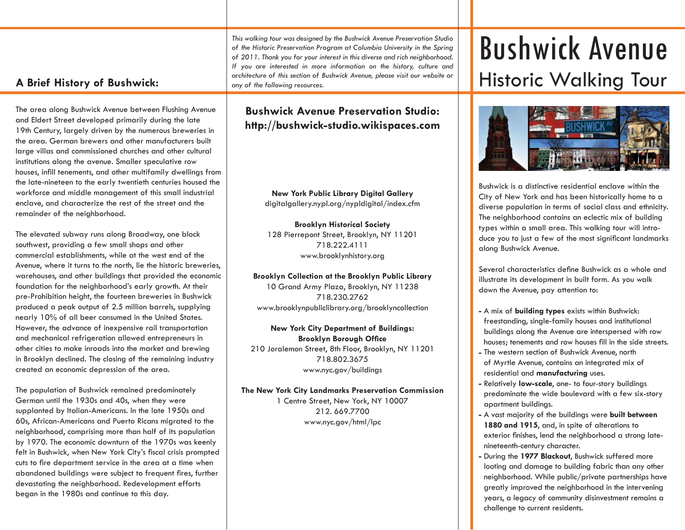*This walking tour was designed by the Bushwick Avenue Preservation Studio of the Historic Preservation Program at Columbia University in the Spring of 2011. Thank you for your interest in this diverse and rich neighborhood. If you are interested in more information on the history, culture and architecture of this section of Bushwick Avenue, please visit our website or any of the following resources.*

# **A Brief History of Bushwick:**

The area along Bushwick Avenue between Flushing Avenue and Eldert Street developed primarily during the late 19th Century, largely driven by the numerous breweries in the area. German brewers and other manufacturers built large villas and commissioned churches and other cultural institutions along the avenue. Smaller speculative row houses, infill tenements, and other multifamily dwellings from the late-nineteen to the early twentieth centuries housed the workforce and middle management of this small industrial enclave, and characterize the rest of the street and the remainder of the neighborhood.

The elevated subway runs along Broadway, one block southwest, providing a few small shops and other commercial establishments, while at the west end of the Avenue, where it turns to the north, lie the historic breweries, warehouses, and other buildings that provided the economic foundation for the neighborhood's early growth. At their pre-Prohibition height, the fourteen breweries in Bushwick produced a peak output of 2.5 million barrels, supplying nearly 10% of all beer consumed in the United States. However, the advance of inexpensive rail transportation and mechanical refrigeration allowed entrepreneurs in other cities to make inroads into the market and brewing in Brooklyn declined. The closing of the remaining industry created an economic depression of the area.

The population of Bushwick remained predominately German until the 1930s and 40s, when they were supplanted by Italian-Americans. In the late 1950s and 60s, African-Americans and Puerto Ricans migrated to the neighborhood, comprising more than half of its population by 1970. The economic downturn of the 1970s was keenly felt in Bushwick, when New York City's fiscal crisis prompted cuts to fire department service in the area at a time when abandoned buildings were subject to frequent fires, further devastating the neighborhood. Redevelopment efforts began in the 1980s and continue to this day.

# **Bushwick Avenue Preservation Studio: http://bushwick-studio.wikispaces.com**

**New York Public Library Digital Gallery** digitalgallery.nypl.org/nypldigital/index.cfm

**Brooklyn Historical Society** 128 Pierrepont Street, Brooklyn, NY 11201 718.222.4111 www.brooklynhistory.org

**Brooklyn Collection at the Brooklyn Public Library** 10 Grand Army Plaza, Brooklyn, NY 11238 718.230.2762 www.brooklynpubliclibrary.org/brooklyncollection

**New York City Department of Buildings: Brooklyn Borough Office** 210 Joralemon Street, 8th Floor, Brooklyn, NY 11201 718.802.3675 www.nyc.gov/buildings

**The New York City Landmarks Preservation Commission**

1 Centre Street, New York, NY 10007 212. 669.7700 www.nyc.gov/html/lpc

# Bushwick Avenue Historic Walking Tour



Bushwick is a distinctive residential enclave within the City of New York and has been historically home to a diverse population in terms of social class and ethnicity. The neighborhood contains an eclectic mix of building types within a small area. This walking tour will introduce you to just a few of the most significant landmarks along Bushwick Avenue.

Several characteristics define Bushwick as a whole and illustrate its development in built form. As you walk down the Avenue, pay attention to:

- **-** A mix of **building types** exists within Bushwick: freestanding, single-family houses and institutional buildings along the Avenue are interspersed with row houses: tenements and row houses fill in the side streets.
- **-** The western section of Bushwick Avenue, north of Myrtle Avenue, contains an integrated mix of residential and **manufacturing** uses.
- **-** Relatively **low-scale**, one- to four-story buildings predominate the wide boulevard with a few six-story apartment buildings.
- **-** A vast majority of the buildings were **built between 1880 and 1915**, and, in spite of alterations to exterior finishes, lend the neighborhood a strong latenineteenth-century character.
- **-** During the **1977 Blackout**, Bushwick suffered more looting and damage to building fabric than any other neighborhood. While public/private partnerships have greatly improved the neighborhood in the intervening years, a legacy of community disinvestment remains a challenge to current residents.